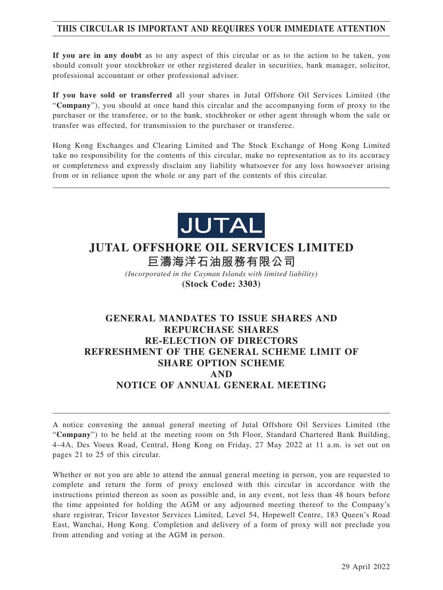# **THIS CIRCULAR IS IMPORTANT AND REQUIRES YOUR IMMEDIATE ATTENTION**

**If you are in any doubt** as to any aspect of this circular or as to the action to be taken, you should consult your stockbroker or other registered dealer in securities, bank manager, solicitor, professional accountant or other professional adviser.

**If you have sold or transferred** all your shares in Jutal Offshore Oil Services Limited (the "**Company**"), you should at once hand this circular and the accompanying form of proxy to the purchaser or the transferee, or to the bank, stockbroker or other agent through whom the sale or transfer was effected, for transmission to the purchaser or transferee.

Hong Kong Exchanges and Clearing Limited and The Stock Exchange of Hong Kong Limited take no responsibility for the contents of this circular, make no representation as to its accuracy or completeness and expressly disclaim any liability whatsoever for any loss howsoever arising from or in reliance upon the whole or any part of the contents of this circular.



# **JUTAL OFFSHORE OIL SERVICES LIMITED**

**巨濤海洋石油服務有限公司**

*(Incorporated in the Cayman Islands with limited liability)* **(Stock Code: 3303)**

# **GENERAL MANDATES TO ISSUE SHARES AND REPURCHASE SHARES RE-ELECTION OF DIRECTORS REFRESHMENT OF THE GENERAL SCHEME LIMIT OF SHARE OPTION SCHEME AND NOTICE OF ANNUAL GENERAL MEETING**

A notice convening the annual general meeting of Jutal Offshore Oil Services Limited (the "**Company**") to be held at the meeting room on 5th Floor, Standard Chartered Bank Building, 4–4A, Des Voeux Road, Central, Hong Kong on Friday, 27 May 2022 at 11 a.m. is set out on pages 21 to 25 of this circular.

Whether or not you are able to attend the annual general meeting in person, you are requested to complete and return the form of proxy enclosed with this circular in accordance with the instructions printed thereon as soon as possible and, in any event, not less than 48 hours before the time appointed for holding the AGM or any adjourned meeting thereof to the Company's share registrar, Tricor Investor Services Limited, Level 54, Hopewell Centre, 183 Queen's Road East, Wanchai, Hong Kong. Completion and delivery of a form of proxy will not preclude you from attending and voting at the AGM in person.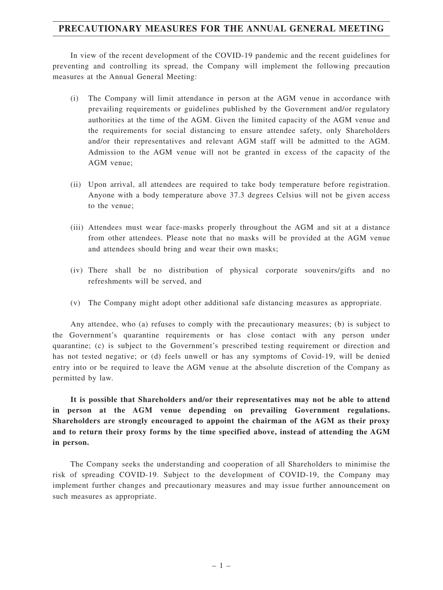# **PRECAUTIONARY MEASURES FOR THE ANNUAL GENERAL MEETING**

In view of the recent development of the COVID-19 pandemic and the recent guidelines for preventing and controlling its spread, the Company will implement the following precaution measures at the Annual General Meeting:

- (i) The Company will limit attendance in person at the AGM venue in accordance with prevailing requirements or guidelines published by the Government and/or regulatory authorities at the time of the AGM. Given the limited capacity of the AGM venue and the requirements for social distancing to ensure attendee safety, only Shareholders and/or their representatives and relevant AGM staff will be admitted to the AGM. Admission to the AGM venue will not be granted in excess of the capacity of the AGM venue;
- (ii) Upon arrival, all attendees are required to take body temperature before registration. Anyone with a body temperature above 37.3 degrees Celsius will not be given access to the venue;
- (iii) Attendees must wear face-masks properly throughout the AGM and sit at a distance from other attendees. Please note that no masks will be provided at the AGM venue and attendees should bring and wear their own masks;
- (iv) There shall be no distribution of physical corporate souvenirs/gifts and no refreshments will be served, and
- (v) The Company might adopt other additional safe distancing measures as appropriate.

Any attendee, who (a) refuses to comply with the precautionary measures; (b) is subject to the Government's quarantine requirements or has close contact with any person under quarantine; (c) is subject to the Government's prescribed testing requirement or direction and has not tested negative; or (d) feels unwell or has any symptoms of Covid-19, will be denied entry into or be required to leave the AGM venue at the absolute discretion of the Company as permitted by law.

**It is possible that Shareholders and/or their representatives may not be able to attend in person at the AGM venue depending on prevailing Government regulations. Shareholders are strongly encouraged to appoint the chairman of the AGM as their proxy and to return their proxy forms by the time specified above, instead of attending the AGM in person.**

The Company seeks the understanding and cooperation of all Shareholders to minimise the risk of spreading COVID-19. Subject to the development of COVID-19, the Company may implement further changes and precautionary measures and may issue further announcement on such measures as appropriate.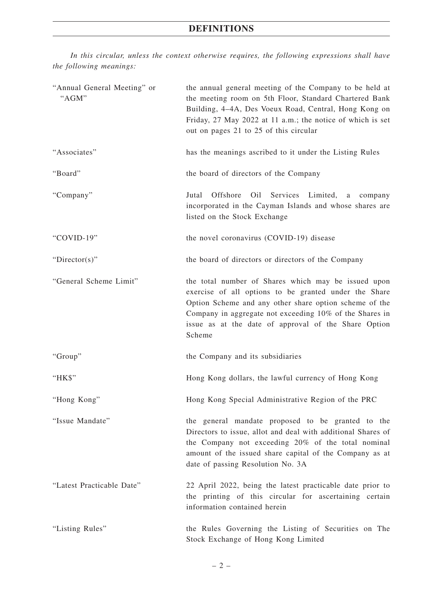# **DEFINITIONS**

*In this circular, unless the context otherwise requires, the following expressions shall have the following meanings:*

| "Annual General Meeting" or<br>"AGM" | the annual general meeting of the Company to be held at<br>the meeting room on 5th Floor, Standard Chartered Bank<br>Building, 4-4A, Des Voeux Road, Central, Hong Kong on<br>Friday, 27 May 2022 at 11 a.m.; the notice of which is set<br>out on pages 21 to 25 of this circular                  |
|--------------------------------------|-----------------------------------------------------------------------------------------------------------------------------------------------------------------------------------------------------------------------------------------------------------------------------------------------------|
| "Associates"                         | has the meanings ascribed to it under the Listing Rules                                                                                                                                                                                                                                             |
| "Board"                              | the board of directors of the Company                                                                                                                                                                                                                                                               |
| "Company"                            | Offshore<br>Services<br>Jutal<br>Oil<br>Limited,<br>a<br>company<br>incorporated in the Cayman Islands and whose shares are<br>listed on the Stock Exchange                                                                                                                                         |
| "COVID-19"                           | the novel coronavirus (COVID-19) disease                                                                                                                                                                                                                                                            |
| "Director(s)"                        | the board of directors or directors of the Company                                                                                                                                                                                                                                                  |
| "General Scheme Limit"               | the total number of Shares which may be issued upon<br>exercise of all options to be granted under the Share<br>Option Scheme and any other share option scheme of the<br>Company in aggregate not exceeding 10% of the Shares in<br>issue as at the date of approval of the Share Option<br>Scheme |
| "Group"                              | the Company and its subsidiaries                                                                                                                                                                                                                                                                    |
| "HK\$"                               | Hong Kong dollars, the lawful currency of Hong Kong                                                                                                                                                                                                                                                 |
| "Hong Kong"                          | Hong Kong Special Administrative Region of the PRC                                                                                                                                                                                                                                                  |
| "Issue Mandate"                      | the general mandate proposed to be granted to the<br>Directors to issue, allot and deal with additional Shares of<br>the Company not exceeding 20% of the total nominal<br>amount of the issued share capital of the Company as at<br>date of passing Resolution No. 3A                             |
| "Latest Practicable Date"            | 22 April 2022, being the latest practicable date prior to<br>the printing of this circular for ascertaining certain<br>information contained herein                                                                                                                                                 |
| "Listing Rules"                      | the Rules Governing the Listing of Securities on The<br>Stock Exchange of Hong Kong Limited                                                                                                                                                                                                         |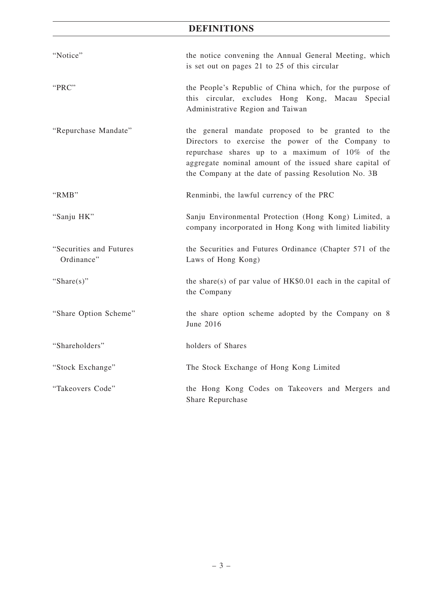# **DEFINITIONS**

| "Notice"                              | the notice convening the Annual General Meeting, which<br>is set out on pages 21 to 25 of this circular                                                                                                                                                                      |  |  |  |
|---------------------------------------|------------------------------------------------------------------------------------------------------------------------------------------------------------------------------------------------------------------------------------------------------------------------------|--|--|--|
| "PRC"                                 | the People's Republic of China which, for the purpose of<br>this circular, excludes Hong Kong, Macau Special<br>Administrative Region and Taiwan                                                                                                                             |  |  |  |
| "Repurchase Mandate"                  | the general mandate proposed to be granted to the<br>Directors to exercise the power of the Company to<br>repurchase shares up to a maximum of 10% of the<br>aggregate nominal amount of the issued share capital of<br>the Company at the date of passing Resolution No. 3B |  |  |  |
| "RMB"                                 | Renminbi, the lawful currency of the PRC                                                                                                                                                                                                                                     |  |  |  |
| "Sanju HK"                            | Sanju Environmental Protection (Hong Kong) Limited, a<br>company incorporated in Hong Kong with limited liability                                                                                                                                                            |  |  |  |
| "Securities and Futures<br>Ordinance" | the Securities and Futures Ordinance (Chapter 571 of the<br>Laws of Hong Kong)                                                                                                                                                                                               |  |  |  |
| "Share $(s)$ "                        | the share(s) of par value of $HK$0.01$ each in the capital of<br>the Company                                                                                                                                                                                                 |  |  |  |
| "Share Option Scheme"                 | the share option scheme adopted by the Company on 8<br>June 2016                                                                                                                                                                                                             |  |  |  |
| "Shareholders"                        | holders of Shares                                                                                                                                                                                                                                                            |  |  |  |
| "Stock Exchange"                      | The Stock Exchange of Hong Kong Limited                                                                                                                                                                                                                                      |  |  |  |
| "Takeovers Code"                      | the Hong Kong Codes on Takeovers and Mergers and<br>Share Repurchase                                                                                                                                                                                                         |  |  |  |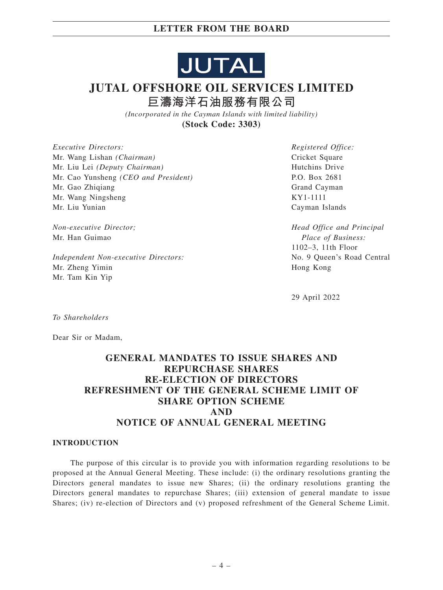

# **JUTAL OFFSHORE OIL SERVICES LIMITED 巨濤海洋石油服務有限公司**

*(Incorporated in the Cayman Islands with limited liability)* **(Stock Code: 3303)**

*Executive Directors:* Mr. Wang Lishan *(Chairman)* Mr. Liu Lei *(Deputy Chairman)* Mr. Cao Yunsheng *(CEO and President)* Mr. Gao Zhiqiang Mr. Wang Ningsheng Mr. Liu Yunian

*Non-executive Director;* Mr. Han Guimao

*Independent Non-executive Directors:* Mr. Zheng Yimin Mr. Tam Kin Yip

*Registered Office:* Cricket Square Hutchins Drive P.O. Box 2681 Grand Cayman KY1-1111 Cayman Islands

*Head Office and Principal Place of Business:* 1102–3, 11th Floor No. 9 Queen's Road Central Hong Kong

29 April 2022

*To Shareholders*

Dear Sir or Madam,

# **GENERAL MANDATES TO ISSUE SHARES AND REPURCHASE SHARES RE-ELECTION OF DIRECTORS REFRESHMENT OF THE GENERAL SCHEME LIMIT OF SHARE OPTION SCHEME AND NOTICE OF ANNUAL GENERAL MEETING**

#### **INTRODUCTION**

The purpose of this circular is to provide you with information regarding resolutions to be proposed at the Annual General Meeting. These include: (i) the ordinary resolutions granting the Directors general mandates to issue new Shares; (ii) the ordinary resolutions granting the Directors general mandates to repurchase Shares; (iii) extension of general mandate to issue Shares; (iv) re-election of Directors and (v) proposed refreshment of the General Scheme Limit.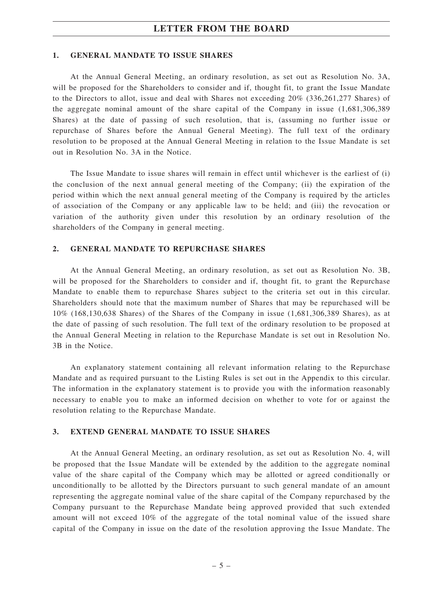#### **1. GENERAL MANDATE TO ISSUE SHARES**

At the Annual General Meeting, an ordinary resolution, as set out as Resolution No. 3A, will be proposed for the Shareholders to consider and if, thought fit, to grant the Issue Mandate to the Directors to allot, issue and deal with Shares not exceeding 20% (336,261,277 Shares) of the aggregate nominal amount of the share capital of the Company in issue (1,681,306,389 Shares) at the date of passing of such resolution, that is, (assuming no further issue or repurchase of Shares before the Annual General Meeting). The full text of the ordinary resolution to be proposed at the Annual General Meeting in relation to the Issue Mandate is set out in Resolution No. 3A in the Notice.

The Issue Mandate to issue shares will remain in effect until whichever is the earliest of (i) the conclusion of the next annual general meeting of the Company; (ii) the expiration of the period within which the next annual general meeting of the Company is required by the articles of association of the Company or any applicable law to be held; and (iii) the revocation or variation of the authority given under this resolution by an ordinary resolution of the shareholders of the Company in general meeting.

#### **2. GENERAL MANDATE TO REPURCHASE SHARES**

At the Annual General Meeting, an ordinary resolution, as set out as Resolution No. 3B, will be proposed for the Shareholders to consider and if, thought fit, to grant the Repurchase Mandate to enable them to repurchase Shares subject to the criteria set out in this circular. Shareholders should note that the maximum number of Shares that may be repurchased will be 10% (168,130,638 Shares) of the Shares of the Company in issue (1,681,306,389 Shares), as at the date of passing of such resolution. The full text of the ordinary resolution to be proposed at the Annual General Meeting in relation to the Repurchase Mandate is set out in Resolution No. 3B in the Notice.

An explanatory statement containing all relevant information relating to the Repurchase Mandate and as required pursuant to the Listing Rules is set out in the Appendix to this circular. The information in the explanatory statement is to provide you with the information reasonably necessary to enable you to make an informed decision on whether to vote for or against the resolution relating to the Repurchase Mandate.

### **3. EXTEND GENERAL MANDATE TO ISSUE SHARES**

At the Annual General Meeting, an ordinary resolution, as set out as Resolution No. 4, will be proposed that the Issue Mandate will be extended by the addition to the aggregate nominal value of the share capital of the Company which may be allotted or agreed conditionally or unconditionally to be allotted by the Directors pursuant to such general mandate of an amount representing the aggregate nominal value of the share capital of the Company repurchased by the Company pursuant to the Repurchase Mandate being approved provided that such extended amount will not exceed 10% of the aggregate of the total nominal value of the issued share capital of the Company in issue on the date of the resolution approving the Issue Mandate. The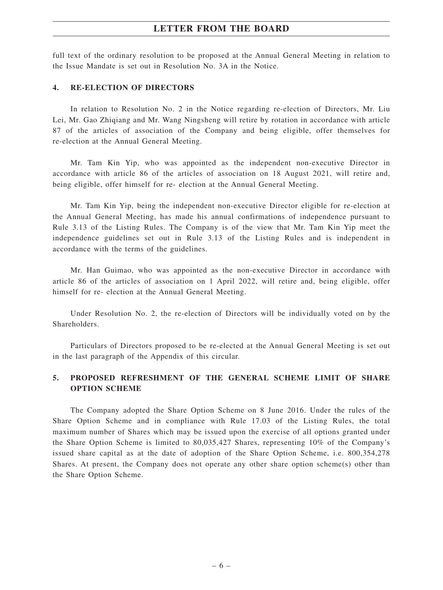full text of the ordinary resolution to be proposed at the Annual General Meeting in relation to the Issue Mandate is set out in Resolution No. 3A in the Notice.

#### **4. RE-ELECTION OF DIRECTORS**

In relation to Resolution No. 2 in the Notice regarding re-election of Directors, Mr. Liu Lei, Mr. Gao Zhiqiang and Mr. Wang Ningsheng will retire by rotation in accordance with article 87 of the articles of association of the Company and being eligible, offer themselves for re-election at the Annual General Meeting.

Mr. Tam Kin Yip, who was appointed as the independent non-executive Director in accordance with article 86 of the articles of association on 18 August 2021, will retire and, being eligible, offer himself for re- election at the Annual General Meeting.

Mr. Tam Kin Yip, being the independent non-executive Director eligible for re-election at the Annual General Meeting, has made his annual confirmations of independence pursuant to Rule 3.13 of the Listing Rules. The Company is of the view that Mr. Tam Kin Yip meet the independence guidelines set out in Rule 3.13 of the Listing Rules and is independent in accordance with the terms of the guidelines.

Mr. Han Guimao, who was appointed as the non-executive Director in accordance with article 86 of the articles of association on 1 April 2022, will retire and, being eligible, offer himself for re- election at the Annual General Meeting.

Under Resolution No. 2, the re-election of Directors will be individually voted on by the **Shareholders** 

Particulars of Directors proposed to be re-elected at the Annual General Meeting is set out in the last paragraph of the Appendix of this circular.

## **5. PROPOSED REFRESHMENT OF THE GENERAL SCHEME LIMIT OF SHARE OPTION SCHEME**

The Company adopted the Share Option Scheme on 8 June 2016. Under the rules of the Share Option Scheme and in compliance with Rule 17.03 of the Listing Rules, the total maximum number of Shares which may be issued upon the exercise of all options granted under the Share Option Scheme is limited to 80,035,427 Shares, representing 10% of the Company's issued share capital as at the date of adoption of the Share Option Scheme, i.e. 800,354,278 Shares. At present, the Company does not operate any other share option scheme(s) other than the Share Option Scheme.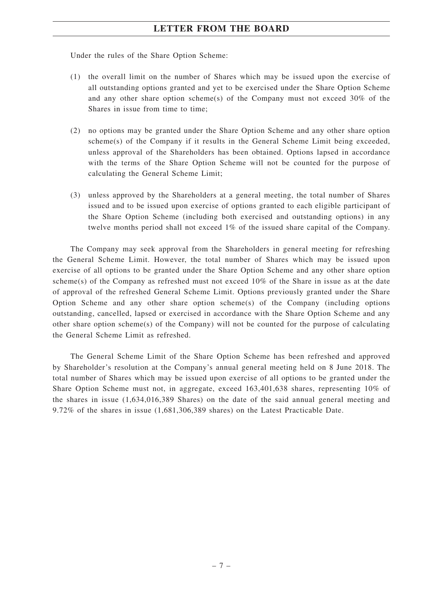Under the rules of the Share Option Scheme:

- (1) the overall limit on the number of Shares which may be issued upon the exercise of all outstanding options granted and yet to be exercised under the Share Option Scheme and any other share option scheme(s) of the Company must not exceed  $30\%$  of the Shares in issue from time to time;
- (2) no options may be granted under the Share Option Scheme and any other share option scheme(s) of the Company if it results in the General Scheme Limit being exceeded, unless approval of the Shareholders has been obtained. Options lapsed in accordance with the terms of the Share Option Scheme will not be counted for the purpose of calculating the General Scheme Limit;
- (3) unless approved by the Shareholders at a general meeting, the total number of Shares issued and to be issued upon exercise of options granted to each eligible participant of the Share Option Scheme (including both exercised and outstanding options) in any twelve months period shall not exceed 1% of the issued share capital of the Company.

The Company may seek approval from the Shareholders in general meeting for refreshing the General Scheme Limit. However, the total number of Shares which may be issued upon exercise of all options to be granted under the Share Option Scheme and any other share option scheme(s) of the Company as refreshed must not exceed 10% of the Share in issue as at the date of approval of the refreshed General Scheme Limit. Options previously granted under the Share Option Scheme and any other share option scheme(s) of the Company (including options outstanding, cancelled, lapsed or exercised in accordance with the Share Option Scheme and any other share option scheme(s) of the Company) will not be counted for the purpose of calculating the General Scheme Limit as refreshed.

The General Scheme Limit of the Share Option Scheme has been refreshed and approved by Shareholder's resolution at the Company's annual general meeting held on 8 June 2018. The total number of Shares which may be issued upon exercise of all options to be granted under the Share Option Scheme must not, in aggregate, exceed 163,401,638 shares, representing 10% of the shares in issue (1,634,016,389 Shares) on the date of the said annual general meeting and 9.72% of the shares in issue (1,681,306,389 shares) on the Latest Practicable Date.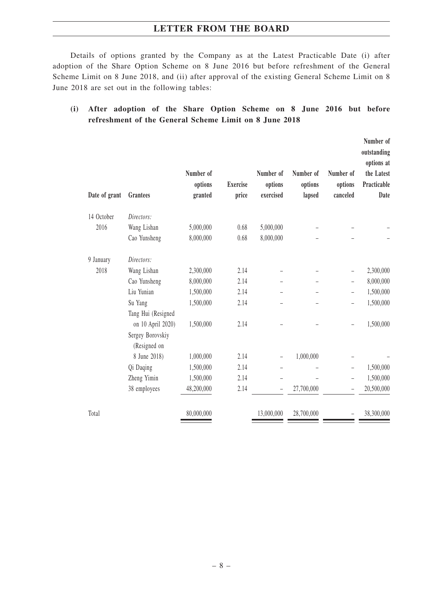Details of options granted by the Company as at the Latest Practicable Date (i) after adoption of the Share Option Scheme on 8 June 2016 but before refreshment of the General Scheme Limit on 8 June 2018, and (ii) after approval of the existing General Scheme Limit on 8 June 2018 are set out in the following tables:

# **(i) After adoption of the Share Option Scheme on 8 June 2016 but before refreshment of the General Scheme Limit on 8 June 2018**

| Date of grant | Grantees                                                    | Number of<br>options<br>granted | <b>Exercise</b><br>price | Number of<br>options<br>exercised | Number of<br>options<br>lapsed | Number of<br>options<br>canceled | Number of<br>outstanding<br>options at<br>the Latest<br>Practicable<br>Date |
|---------------|-------------------------------------------------------------|---------------------------------|--------------------------|-----------------------------------|--------------------------------|----------------------------------|-----------------------------------------------------------------------------|
| 14 October    | Directors:                                                  |                                 |                          |                                   |                                |                                  |                                                                             |
| 2016          | Wang Lishan                                                 | 5,000,000                       | 0.68                     | 5,000,000                         |                                |                                  |                                                                             |
|               | Cao Yunsheng                                                | 8,000,000                       | 0.68                     | 8,000,000                         |                                |                                  |                                                                             |
| 9 January     | Directors:                                                  |                                 |                          |                                   |                                |                                  |                                                                             |
| 2018          | Wang Lishan                                                 | 2,300,000                       | 2.14                     |                                   |                                |                                  | 2,300,000                                                                   |
|               | Cao Yunsheng                                                | 8,000,000                       | 2.14                     |                                   |                                |                                  | 8,000,000                                                                   |
|               | Liu Yunian                                                  | 1,500,000                       | 2.14                     |                                   |                                | $\overline{\phantom{0}}$         | 1,500,000                                                                   |
|               | Su Yang                                                     | 1,500,000                       | 2.14                     |                                   |                                |                                  | 1,500,000                                                                   |
|               | Tang Hui (Resigned<br>on 10 April 2020)<br>Sergey Borovskiy | 1,500,000                       | 2.14                     |                                   |                                |                                  | 1,500,000                                                                   |
|               | (Resigned on                                                |                                 |                          |                                   |                                |                                  |                                                                             |
|               | 8 June 2018)                                                | 1,000,000                       | 2.14                     |                                   | 1,000,000                      |                                  |                                                                             |
|               | Qi Daqing                                                   | 1,500,000                       | 2.14                     |                                   |                                |                                  | 1,500,000                                                                   |
|               | Zheng Yimin                                                 | 1,500,000                       | 2.14                     |                                   |                                |                                  | 1,500,000                                                                   |
|               | 38 employees                                                | 48,200,000                      | 2.14                     |                                   | 27,700,000                     |                                  | 20,500,000                                                                  |
| Total         |                                                             | 80,000,000                      |                          | 13,000,000                        | 28,700,000                     |                                  | 38,300,000                                                                  |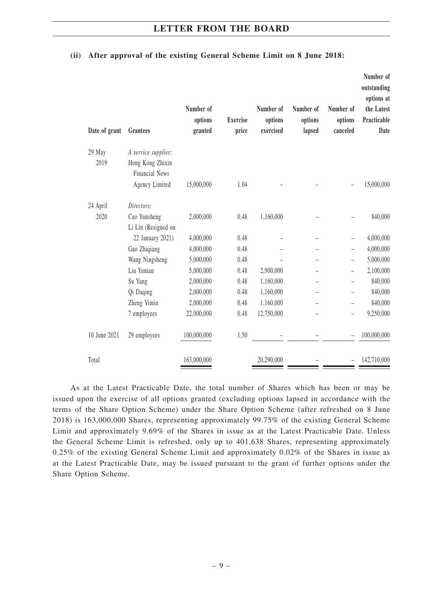| Date of grant | Grantees                                  | Number of<br>options<br>granted | <b>Exercise</b><br>price | Number of<br>options<br>exercised | Number of<br>options<br>lapsed | Number of<br>options<br>canceled | Number of<br>outstanding<br>options at<br>the Latest<br>Practicable<br>Date |
|---------------|-------------------------------------------|---------------------------------|--------------------------|-----------------------------------|--------------------------------|----------------------------------|-----------------------------------------------------------------------------|
| 29 May        | A service supplier:                       |                                 |                          |                                   |                                |                                  |                                                                             |
| 2019          | Hong Kong Zhixin<br><b>Financial News</b> |                                 |                          |                                   |                                |                                  |                                                                             |
|               | Agency Limited                            | 15,000,000                      | 1.04                     |                                   |                                |                                  | 15,000,000                                                                  |
| 24 April      | Directors:                                |                                 |                          |                                   |                                |                                  |                                                                             |
| 2020          | Cao Yunsheng                              | 2,000,000                       | 0.48                     | 1,160,000                         |                                |                                  | 840,000                                                                     |
|               | Li Lin (Resigned on                       |                                 |                          |                                   |                                |                                  |                                                                             |
|               | 22 January 2021)                          | 4,000,000                       | 0.48                     |                                   |                                |                                  | 4,000,000                                                                   |
|               | Gao Zhiqiang                              | 4,000,000                       | 0.48                     |                                   |                                |                                  | 4,000,000                                                                   |
|               | Wang Ningsheng                            | 5,000,000                       | 0.48                     |                                   |                                | $\overline{\phantom{0}}$         | 5,000,000                                                                   |
|               | Liu Yunian                                | 5,000,000                       | 0.48                     | 2,900,000                         |                                |                                  | 2,100,000                                                                   |
|               | Su Yang                                   | 2,000,000                       | 0.48                     | 1,160,000                         |                                |                                  | 840,000                                                                     |
|               | Qi Daqing                                 | 2,000,000                       | 0.48                     | 1,160,000                         |                                | $\overline{\phantom{0}}$         | 840,000                                                                     |
|               | Zheng Yimin                               | 2,000,000                       | 0.48                     | 1,160,000                         |                                | $\qquad \qquad -$                | 840,000                                                                     |
|               | 7 employees                               | 22,000,000                      | 0.48                     | 12,750,000                        |                                |                                  | 9,250,000                                                                   |
| 10 June 2021  | 29 employees                              | 100,000,000                     | 1.50                     |                                   |                                |                                  | 100,000,000                                                                 |
| Total         |                                           | 163,000,000                     |                          | 20,290,000                        |                                |                                  | 142,710,000                                                                 |

#### **(ii) After approval of the existing General Scheme Limit on 8 June 2018:**

As at the Latest Practicable Date, the total number of Shares which has been or may be issued upon the exercise of all options granted (excluding options lapsed in accordance with the terms of the Share Option Scheme) under the Share Option Scheme (after refreshed on 8 June 2018) is 163,000,000 Shares, representing approximately 99.75% of the existing General Scheme Limit and approximately 9.69% of the Shares in issue as at the Latest Practicable Date. Unless the General Scheme Limit is refreshed, only up to 401,638 Shares, representing approximately 0.25% of the existing General Scheme Limit and approximately 0.02% of the Shares in issue as at the Latest Practicable Date, may be issued pursuant to the grant of further options under the Share Option Scheme.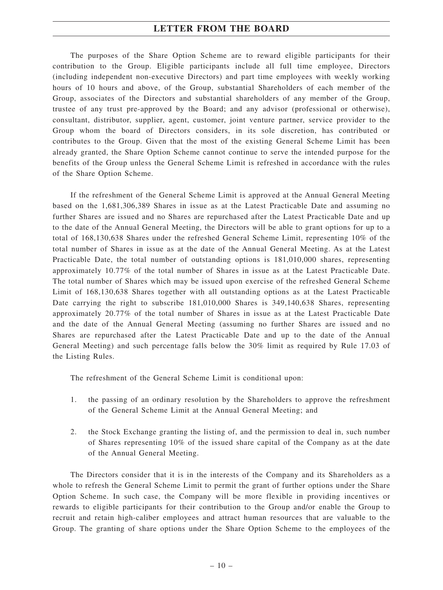The purposes of the Share Option Scheme are to reward eligible participants for their contribution to the Group. Eligible participants include all full time employee, Directors (including independent non-executive Directors) and part time employees with weekly working hours of 10 hours and above, of the Group, substantial Shareholders of each member of the Group, associates of the Directors and substantial shareholders of any member of the Group, trustee of any trust pre-approved by the Board; and any advisor (professional or otherwise), consultant, distributor, supplier, agent, customer, joint venture partner, service provider to the Group whom the board of Directors considers, in its sole discretion, has contributed or contributes to the Group. Given that the most of the existing General Scheme Limit has been already granted, the Share Option Scheme cannot continue to serve the intended purpose for the benefits of the Group unless the General Scheme Limit is refreshed in accordance with the rules of the Share Option Scheme.

If the refreshment of the General Scheme Limit is approved at the Annual General Meeting based on the 1,681,306,389 Shares in issue as at the Latest Practicable Date and assuming no further Shares are issued and no Shares are repurchased after the Latest Practicable Date and up to the date of the Annual General Meeting, the Directors will be able to grant options for up to a total of 168,130,638 Shares under the refreshed General Scheme Limit, representing 10% of the total number of Shares in issue as at the date of the Annual General Meeting. As at the Latest Practicable Date, the total number of outstanding options is 181,010,000 shares, representing approximately 10.77% of the total number of Shares in issue as at the Latest Practicable Date. The total number of Shares which may be issued upon exercise of the refreshed General Scheme Limit of 168,130,638 Shares together with all outstanding options as at the Latest Practicable Date carrying the right to subscribe 181,010,000 Shares is 349,140,638 Shares, representing approximately 20.77% of the total number of Shares in issue as at the Latest Practicable Date and the date of the Annual General Meeting (assuming no further Shares are issued and no Shares are repurchased after the Latest Practicable Date and up to the date of the Annual General Meeting) and such percentage falls below the 30% limit as required by Rule 17.03 of the Listing Rules.

The refreshment of the General Scheme Limit is conditional upon:

- 1. the passing of an ordinary resolution by the Shareholders to approve the refreshment of the General Scheme Limit at the Annual General Meeting; and
- 2. the Stock Exchange granting the listing of, and the permission to deal in, such number of Shares representing 10% of the issued share capital of the Company as at the date of the Annual General Meeting.

The Directors consider that it is in the interests of the Company and its Shareholders as a whole to refresh the General Scheme Limit to permit the grant of further options under the Share Option Scheme. In such case, the Company will be more flexible in providing incentives or rewards to eligible participants for their contribution to the Group and/or enable the Group to recruit and retain high-caliber employees and attract human resources that are valuable to the Group. The granting of share options under the Share Option Scheme to the employees of the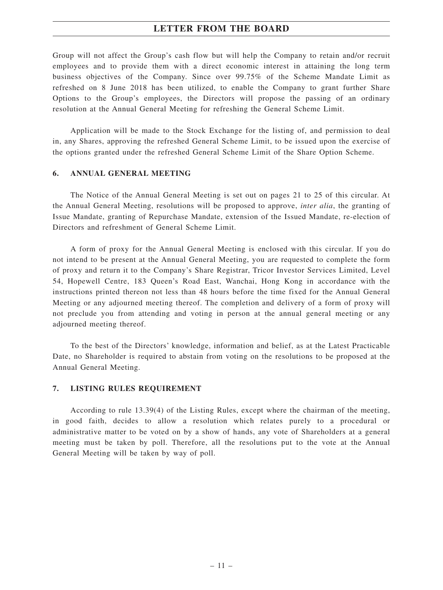Group will not affect the Group's cash flow but will help the Company to retain and/or recruit employees and to provide them with a direct economic interest in attaining the long term business objectives of the Company. Since over 99.75% of the Scheme Mandate Limit as refreshed on 8 June 2018 has been utilized, to enable the Company to grant further Share Options to the Group's employees, the Directors will propose the passing of an ordinary resolution at the Annual General Meeting for refreshing the General Scheme Limit.

Application will be made to the Stock Exchange for the listing of, and permission to deal in, any Shares, approving the refreshed General Scheme Limit, to be issued upon the exercise of the options granted under the refreshed General Scheme Limit of the Share Option Scheme.

#### **6. ANNUAL GENERAL MEETING**

The Notice of the Annual General Meeting is set out on pages 21 to 25 of this circular. At the Annual General Meeting, resolutions will be proposed to approve, *inter alia*, the granting of Issue Mandate, granting of Repurchase Mandate, extension of the Issued Mandate, re-election of Directors and refreshment of General Scheme Limit.

A form of proxy for the Annual General Meeting is enclosed with this circular. If you do not intend to be present at the Annual General Meeting, you are requested to complete the form of proxy and return it to the Company's Share Registrar, Tricor Investor Services Limited, Level 54, Hopewell Centre, 183 Queen's Road East, Wanchai, Hong Kong in accordance with the instructions printed thereon not less than 48 hours before the time fixed for the Annual General Meeting or any adjourned meeting thereof. The completion and delivery of a form of proxy will not preclude you from attending and voting in person at the annual general meeting or any adjourned meeting thereof.

To the best of the Directors' knowledge, information and belief, as at the Latest Practicable Date, no Shareholder is required to abstain from voting on the resolutions to be proposed at the Annual General Meeting.

#### **7. LISTING RULES REQUIREMENT**

According to rule 13.39(4) of the Listing Rules, except where the chairman of the meeting, in good faith, decides to allow a resolution which relates purely to a procedural or administrative matter to be voted on by a show of hands, any vote of Shareholders at a general meeting must be taken by poll. Therefore, all the resolutions put to the vote at the Annual General Meeting will be taken by way of poll.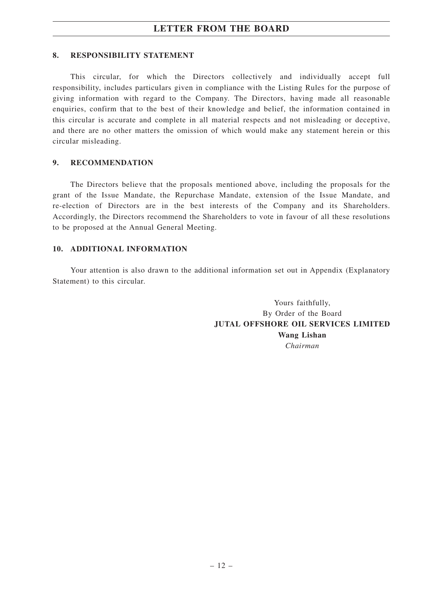#### **8. RESPONSIBILITY STATEMENT**

This circular, for which the Directors collectively and individually accept full responsibility, includes particulars given in compliance with the Listing Rules for the purpose of giving information with regard to the Company. The Directors, having made all reasonable enquiries, confirm that to the best of their knowledge and belief, the information contained in this circular is accurate and complete in all material respects and not misleading or deceptive, and there are no other matters the omission of which would make any statement herein or this circular misleading.

#### **9. RECOMMENDATION**

The Directors believe that the proposals mentioned above, including the proposals for the grant of the Issue Mandate, the Repurchase Mandate, extension of the Issue Mandate, and re-election of Directors are in the best interests of the Company and its Shareholders. Accordingly, the Directors recommend the Shareholders to vote in favour of all these resolutions to be proposed at the Annual General Meeting.

#### **10. ADDITIONAL INFORMATION**

Your attention is also drawn to the additional information set out in Appendix (Explanatory Statement) to this circular.

> Yours faithfully, By Order of the Board **JUTAL OFFSHORE OIL SERVICES LIMITED Wang Lishan** *Chairman*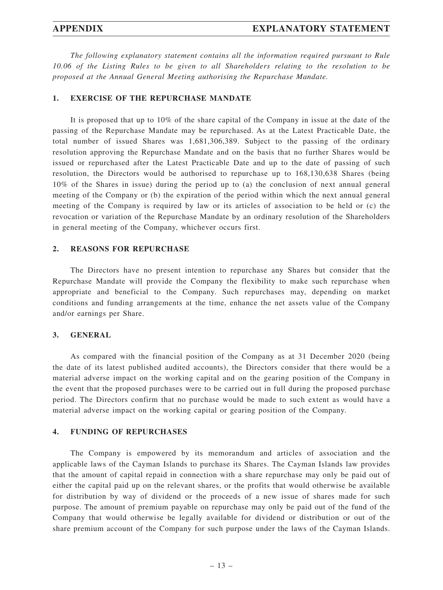*The following explanatory statement contains all the information required pursuant to Rule 10.06 of the Listing Rules to be given to all Shareholders relating to the resolution to be proposed at the Annual General Meeting authorising the Repurchase Mandate.*

#### **1. EXERCISE OF THE REPURCHASE MANDATE**

It is proposed that up to 10% of the share capital of the Company in issue at the date of the passing of the Repurchase Mandate may be repurchased. As at the Latest Practicable Date, the total number of issued Shares was 1,681,306,389. Subject to the passing of the ordinary resolution approving the Repurchase Mandate and on the basis that no further Shares would be issued or repurchased after the Latest Practicable Date and up to the date of passing of such resolution, the Directors would be authorised to repurchase up to 168,130,638 Shares (being 10% of the Shares in issue) during the period up to (a) the conclusion of next annual general meeting of the Company or (b) the expiration of the period within which the next annual general meeting of the Company is required by law or its articles of association to be held or (c) the revocation or variation of the Repurchase Mandate by an ordinary resolution of the Shareholders in general meeting of the Company, whichever occurs first.

#### **2. REASONS FOR REPURCHASE**

The Directors have no present intention to repurchase any Shares but consider that the Repurchase Mandate will provide the Company the flexibility to make such repurchase when appropriate and beneficial to the Company. Such repurchases may, depending on market conditions and funding arrangements at the time, enhance the net assets value of the Company and/or earnings per Share.

#### **3. GENERAL**

As compared with the financial position of the Company as at 31 December 2020 (being the date of its latest published audited accounts), the Directors consider that there would be a material adverse impact on the working capital and on the gearing position of the Company in the event that the proposed purchases were to be carried out in full during the proposed purchase period. The Directors confirm that no purchase would be made to such extent as would have a material adverse impact on the working capital or gearing position of the Company.

### **4. FUNDING OF REPURCHASES**

The Company is empowered by its memorandum and articles of association and the applicable laws of the Cayman Islands to purchase its Shares. The Cayman Islands law provides that the amount of capital repaid in connection with a share repurchase may only be paid out of either the capital paid up on the relevant shares, or the profits that would otherwise be available for distribution by way of dividend or the proceeds of a new issue of shares made for such purpose. The amount of premium payable on repurchase may only be paid out of the fund of the Company that would otherwise be legally available for dividend or distribution or out of the share premium account of the Company for such purpose under the laws of the Cayman Islands.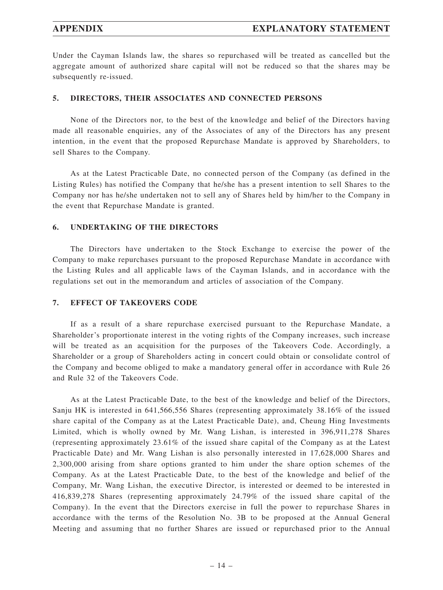Under the Cayman Islands law, the shares so repurchased will be treated as cancelled but the aggregate amount of authorized share capital will not be reduced so that the shares may be subsequently re-issued.

#### **5. DIRECTORS, THEIR ASSOCIATES AND CONNECTED PERSONS**

None of the Directors nor, to the best of the knowledge and belief of the Directors having made all reasonable enquiries, any of the Associates of any of the Directors has any present intention, in the event that the proposed Repurchase Mandate is approved by Shareholders, to sell Shares to the Company.

As at the Latest Practicable Date, no connected person of the Company (as defined in the Listing Rules) has notified the Company that he/she has a present intention to sell Shares to the Company nor has he/she undertaken not to sell any of Shares held by him/her to the Company in the event that Repurchase Mandate is granted.

### **6. UNDERTAKING OF THE DIRECTORS**

The Directors have undertaken to the Stock Exchange to exercise the power of the Company to make repurchases pursuant to the proposed Repurchase Mandate in accordance with the Listing Rules and all applicable laws of the Cayman Islands, and in accordance with the regulations set out in the memorandum and articles of association of the Company.

### **7. EFFECT OF TAKEOVERS CODE**

If as a result of a share repurchase exercised pursuant to the Repurchase Mandate, a Shareholder's proportionate interest in the voting rights of the Company increases, such increase will be treated as an acquisition for the purposes of the Takeovers Code. Accordingly, a Shareholder or a group of Shareholders acting in concert could obtain or consolidate control of the Company and become obliged to make a mandatory general offer in accordance with Rule 26 and Rule 32 of the Takeovers Code.

As at the Latest Practicable Date, to the best of the knowledge and belief of the Directors, Sanju HK is interested in 641,566,556 Shares (representing approximately 38.16% of the issued share capital of the Company as at the Latest Practicable Date), and, Cheung Hing Investments Limited, which is wholly owned by Mr. Wang Lishan, is interested in 396,911,278 Shares (representing approximately 23.61% of the issued share capital of the Company as at the Latest Practicable Date) and Mr. Wang Lishan is also personally interested in 17,628,000 Shares and 2,300,000 arising from share options granted to him under the share option schemes of the Company. As at the Latest Practicable Date, to the best of the knowledge and belief of the Company, Mr. Wang Lishan, the executive Director, is interested or deemed to be interested in 416,839,278 Shares (representing approximately 24.79% of the issued share capital of the Company). In the event that the Directors exercise in full the power to repurchase Shares in accordance with the terms of the Resolution No. 3B to be proposed at the Annual General Meeting and assuming that no further Shares are issued or repurchased prior to the Annual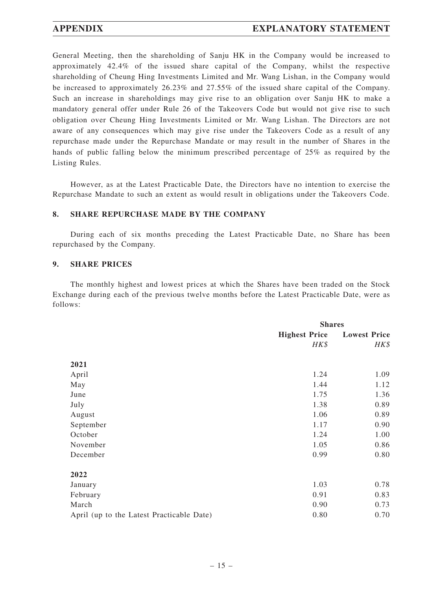# **APPENDIX EXPLANATORY STATEMENT**

General Meeting, then the shareholding of Sanju HK in the Company would be increased to approximately 42.4% of the issued share capital of the Company, whilst the respective shareholding of Cheung Hing Investments Limited and Mr. Wang Lishan, in the Company would be increased to approximately 26.23% and 27.55% of the issued share capital of the Company. Such an increase in shareholdings may give rise to an obligation over Sanju HK to make a mandatory general offer under Rule 26 of the Takeovers Code but would not give rise to such obligation over Cheung Hing Investments Limited or Mr. Wang Lishan. The Directors are not aware of any consequences which may give rise under the Takeovers Code as a result of any repurchase made under the Repurchase Mandate or may result in the number of Shares in the hands of public falling below the minimum prescribed percentage of 25% as required by the Listing Rules.

However, as at the Latest Practicable Date, the Directors have no intention to exercise the Repurchase Mandate to such an extent as would result in obligations under the Takeovers Code.

#### **8. SHARE REPURCHASE MADE BY THE COMPANY**

During each of six months preceding the Latest Practicable Date, no Share has been repurchased by the Company.

#### **9. SHARE PRICES**

The monthly highest and lowest prices at which the Shares have been traded on the Stock Exchange during each of the previous twelve months before the Latest Practicable Date, were as follows:

|                                           |                      | <b>Shares</b>       |  |  |
|-------------------------------------------|----------------------|---------------------|--|--|
|                                           | <b>Highest Price</b> | <b>Lowest Price</b> |  |  |
|                                           | HK\$                 | HK\$                |  |  |
| 2021                                      |                      |                     |  |  |
| April                                     | 1.24                 | 1.09                |  |  |
| May                                       | 1.44                 | 1.12                |  |  |
| June                                      | 1.75                 | 1.36                |  |  |
| July                                      | 1.38                 | 0.89                |  |  |
| August                                    | 1.06                 | 0.89                |  |  |
| September                                 | 1.17                 | 0.90                |  |  |
| October                                   | 1.24                 | 1.00                |  |  |
| November                                  | 1.05                 | 0.86                |  |  |
| December                                  | 0.99                 | 0.80                |  |  |
| 2022                                      |                      |                     |  |  |
| January                                   | 1.03                 | 0.78                |  |  |
| February                                  | 0.91                 | 0.83                |  |  |
| March                                     | 0.90                 | 0.73                |  |  |
| April (up to the Latest Practicable Date) | 0.80                 | 0.70                |  |  |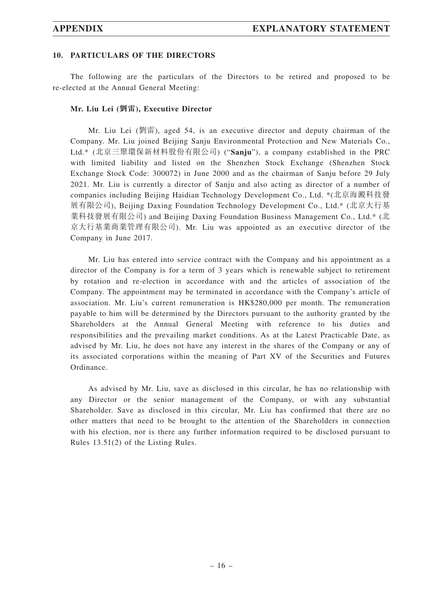#### **10. PARTICULARS OF THE DIRECTORS**

The following are the particulars of the Directors to be retired and proposed to be re-elected at the Annual General Meeting:

#### **Mr. Liu Lei (劉雷), Executive Director**

Mr. Liu Lei (劉雷), aged 54, is an executive director and deputy chairman of the Company. Mr. Liu joined Beijing Sanju Environmental Protection and New Materials Co., Ltd.\* (北京三聚環保新材料股份有限公司) ("**Sanju**"), a company established in the PRC with limited liability and listed on the Shenzhen Stock Exchange (Shenzhen Stock Exchange Stock Code: 300072) in June 2000 and as the chairman of Sanju before 29 July 2021. Mr. Liu is currently a director of Sanju and also acting as director of a number of companies including Beijing Haidian Technology Development Co., Ltd. \*(北京海澱科技發 展有限公司), Beijing Daxing Foundation Technology Development Co., Ltd.\* (北京大行基 業科技發展有限公司) and Beijing Daxing Foundation Business Management Co., Ltd.\* (北 京大行基業商業管理有限公司). Mr. Liu was appointed as an executive director of the Company in June 2017.

Mr. Liu has entered into service contract with the Company and his appointment as a director of the Company is for a term of 3 years which is renewable subject to retirement by rotation and re-election in accordance with and the articles of association of the Company. The appointment may be terminated in accordance with the Company's article of association. Mr. Liu's current remuneration is HK\$280,000 per month. The remuneration payable to him will be determined by the Directors pursuant to the authority granted by the Shareholders at the Annual General Meeting with reference to his duties and responsibilities and the prevailing market conditions. As at the Latest Practicable Date, as advised by Mr. Liu, he does not have any interest in the shares of the Company or any of its associated corporations within the meaning of Part XV of the Securities and Futures Ordinance.

As advised by Mr. Liu, save as disclosed in this circular, he has no relationship with any Director or the senior management of the Company, or with any substantial Shareholder. Save as disclosed in this circular, Mr. Liu has confirmed that there are no other matters that need to be brought to the attention of the Shareholders in connection with his election, nor is there any further information required to be disclosed pursuant to Rules 13.51(2) of the Listing Rules.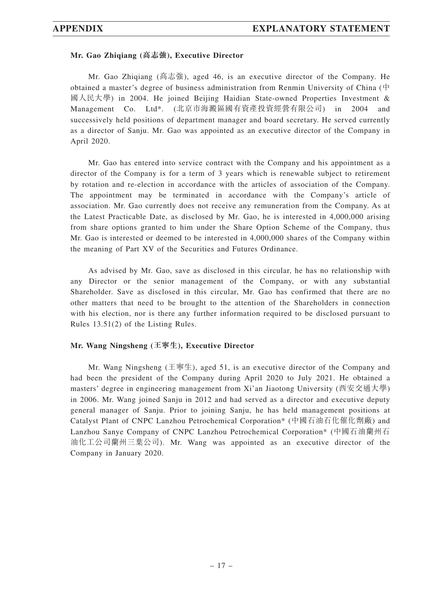#### **Mr. Gao Zhiqiang (高志強), Executive Director**

Mr. Gao Zhiqiang (高志強), aged 46, is an executive director of the Company. He obtained a master's degree of business administration from Renmin University of China (中 國人民大學) in 2004. He joined Beijing Haidian State-owned Properties Investment & Management Co. Ltd\*. (北京市海澱區國有資產投資經營有限公司) in 2004 and successively held positions of department manager and board secretary. He served currently as a director of Sanju. Mr. Gao was appointed as an executive director of the Company in April 2020.

Mr. Gao has entered into service contract with the Company and his appointment as a director of the Company is for a term of 3 years which is renewable subject to retirement by rotation and re-election in accordance with the articles of association of the Company. The appointment may be terminated in accordance with the Company's article of association. Mr. Gao currently does not receive any remuneration from the Company. As at the Latest Practicable Date, as disclosed by Mr. Gao, he is interested in 4,000,000 arising from share options granted to him under the Share Option Scheme of the Company, thus Mr. Gao is interested or deemed to be interested in 4,000,000 shares of the Company within the meaning of Part XV of the Securities and Futures Ordinance.

As advised by Mr. Gao, save as disclosed in this circular, he has no relationship with any Director or the senior management of the Company, or with any substantial Shareholder. Save as disclosed in this circular, Mr. Gao has confirmed that there are no other matters that need to be brought to the attention of the Shareholders in connection with his election, nor is there any further information required to be disclosed pursuant to Rules 13.51(2) of the Listing Rules.

#### **Mr. Wang Ningsheng (王寧生), Executive Director**

Mr. Wang Ningsheng (王寧生), aged 51, is an executive director of the Company and had been the president of the Company during April 2020 to July 2021. He obtained a masters' degree in engineering management from Xi'an Jiaotong University (西安交通大學) in 2006. Mr. Wang joined Sanju in 2012 and had served as a director and executive deputy general manager of Sanju. Prior to joining Sanju, he has held management positions at Catalyst Plant of CNPC Lanzhou Petrochemical Corporation\* (中國石油石化催化劑廠) and Lanzhou Sanye Company of CNPC Lanzhou Petrochemical Corporation\* (中國石油蘭州石 油化工公司蘭州三葉公司). Mr. Wang was appointed as an executive director of the Company in January 2020.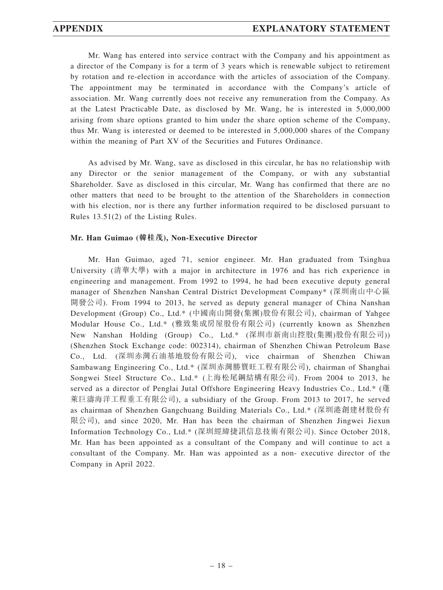Mr. Wang has entered into service contract with the Company and his appointment as a director of the Company is for a term of 3 years which is renewable subject to retirement by rotation and re-election in accordance with the articles of association of the Company. The appointment may be terminated in accordance with the Company's article of association. Mr. Wang currently does not receive any remuneration from the Company. As at the Latest Practicable Date, as disclosed by Mr. Wang, he is interested in 5,000,000 arising from share options granted to him under the share option scheme of the Company, thus Mr. Wang is interested or deemed to be interested in 5,000,000 shares of the Company within the meaning of Part XV of the Securities and Futures Ordinance.

As advised by Mr. Wang, save as disclosed in this circular, he has no relationship with any Director or the senior management of the Company, or with any substantial Shareholder. Save as disclosed in this circular, Mr. Wang has confirmed that there are no other matters that need to be brought to the attention of the Shareholders in connection with his election, nor is there any further information required to be disclosed pursuant to Rules 13.51(2) of the Listing Rules.

#### **Mr. Han Guimao (韓桂茂), Non-Executive Director**

Mr. Han Guimao, aged 71, senior engineer. Mr. Han graduated from Tsinghua University (清華大學) with a major in architecture in 1976 and has rich experience in engineering and management. From 1992 to 1994, he had been executive deputy general manager of Shenzhen Nanshan Central District Development Company\* (深圳南山中心區 開發公司). From 1994 to 2013, he served as deputy general manager of China Nanshan Development (Group) Co., Ltd.\* (中國南山開發(集團)股份有限公司), chairman of Yahgee Modular House Co., Ltd.\* (雅致集成房屋股份有限公司) (currently known as Shenzhen New Nanshan Holding (Group) Co., Ltd.\* (深圳市新南山控股(集團)股份有限公司)) (Shenzhen Stock Exchange code: 002314), chairman of Shenzhen Chiwan Petroleum Base Co., Ltd. (深圳赤灣石油基地股份有限公司), vice chairman of Shenzhen Chiwan Sambawang Engineering Co., Ltd.\* (深圳赤灣勝寶旺工程有限公司), chairman of Shanghai Songwei Steel Structure Co., Ltd.\* (上海松尾鋼結構有限公司). From 2004 to 2013, he served as a director of Penglai Jutal Offshore Engineering Heavy Industries Co., Ltd.\* (蓬 萊巨濤海洋工程重工有限公司), a subsidiary of the Group. From 2013 to 2017, he served as chairman of Shenzhen Gangchuang Building Materials Co., Ltd.\* (深圳港創建材股份有 限公司), and since 2020, Mr. Han has been the chairman of Shenzhen Jingwei Jiexun Information Technology Co., Ltd.\* (深圳經緯捷訊信息技術有限公司). Since October 2018, Mr. Han has been appointed as a consultant of the Company and will continue to act a consultant of the Company. Mr. Han was appointed as a non- executive director of the Company in April 2022.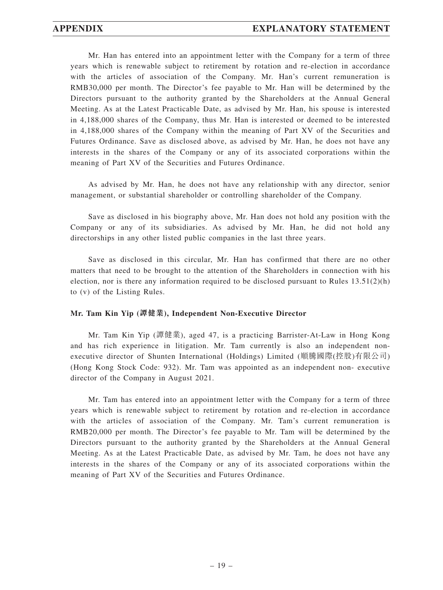Mr. Han has entered into an appointment letter with the Company for a term of three years which is renewable subject to retirement by rotation and re-election in accordance with the articles of association of the Company. Mr. Han's current remuneration is RMB30,000 per month. The Director's fee payable to Mr. Han will be determined by the Directors pursuant to the authority granted by the Shareholders at the Annual General Meeting. As at the Latest Practicable Date, as advised by Mr. Han, his spouse is interested in 4,188,000 shares of the Company, thus Mr. Han is interested or deemed to be interested in 4,188,000 shares of the Company within the meaning of Part XV of the Securities and Futures Ordinance. Save as disclosed above, as advised by Mr. Han, he does not have any interests in the shares of the Company or any of its associated corporations within the meaning of Part XV of the Securities and Futures Ordinance.

As advised by Mr. Han, he does not have any relationship with any director, senior management, or substantial shareholder or controlling shareholder of the Company.

Save as disclosed in his biography above, Mr. Han does not hold any position with the Company or any of its subsidiaries. As advised by Mr. Han, he did not hold any directorships in any other listed public companies in the last three years.

Save as disclosed in this circular, Mr. Han has confirmed that there are no other matters that need to be brought to the attention of the Shareholders in connection with his election, nor is there any information required to be disclosed pursuant to Rules  $13.51(2)(h)$ to (v) of the Listing Rules.

#### **Mr. Tam Kin Yip (譚健業), Independent Non-Executive Director**

Mr. Tam Kin Yip (譚健業), aged 47, is a practicing Barrister-At-Law in Hong Kong and has rich experience in litigation. Mr. Tam currently is also an independent nonexecutive director of Shunten International (Holdings) Limited (順騰國際(控股)有限公司) (Hong Kong Stock Code: 932). Mr. Tam was appointed as an independent non- executive director of the Company in August 2021.

Mr. Tam has entered into an appointment letter with the Company for a term of three years which is renewable subject to retirement by rotation and re-election in accordance with the articles of association of the Company. Mr. Tam's current remuneration is RMB20,000 per month. The Director's fee payable to Mr. Tam will be determined by the Directors pursuant to the authority granted by the Shareholders at the Annual General Meeting. As at the Latest Practicable Date, as advised by Mr. Tam, he does not have any interests in the shares of the Company or any of its associated corporations within the meaning of Part XV of the Securities and Futures Ordinance.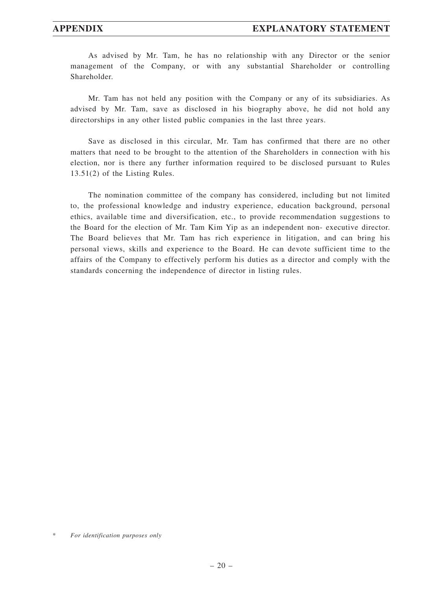As advised by Mr. Tam, he has no relationship with any Director or the senior management of the Company, or with any substantial Shareholder or controlling Shareholder.

Mr. Tam has not held any position with the Company or any of its subsidiaries. As advised by Mr. Tam, save as disclosed in his biography above, he did not hold any directorships in any other listed public companies in the last three years.

Save as disclosed in this circular, Mr. Tam has confirmed that there are no other matters that need to be brought to the attention of the Shareholders in connection with his election, nor is there any further information required to be disclosed pursuant to Rules 13.51(2) of the Listing Rules.

The nomination committee of the company has considered, including but not limited to, the professional knowledge and industry experience, education background, personal ethics, available time and diversification, etc., to provide recommendation suggestions to the Board for the election of Mr. Tam Kim Yip as an independent non- executive director. The Board believes that Mr. Tam has rich experience in litigation, and can bring his personal views, skills and experience to the Board. He can devote sufficient time to the affairs of the Company to effectively perform his duties as a director and comply with the standards concerning the independence of director in listing rules.

 $For$  *identification purposes only*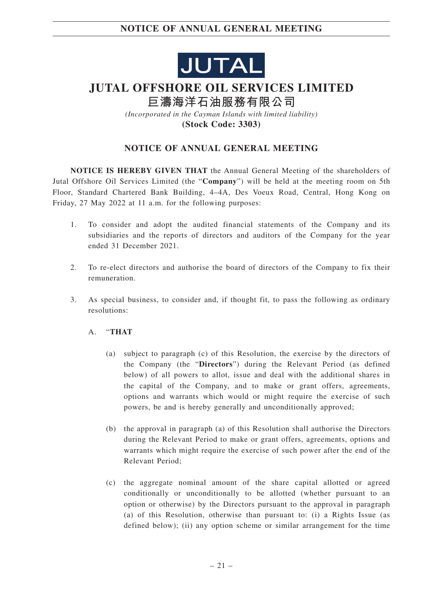

# **JUTAL OFFSHORE OIL SERVICES LIMITED**

**巨濤海洋石油服務有限公司**

*(Incorporated in the Cayman Islands with limited liability)* **(Stock Code: 3303)**

# **NOTICE OF ANNUAL GENERAL MEETING**

**NOTICE IS HEREBY GIVEN THAT** the Annual General Meeting of the shareholders of Jutal Offshore Oil Services Limited (the "**Company**") will be held at the meeting room on 5th Floor, Standard Chartered Bank Building, 4–4A, Des Voeux Road, Central, Hong Kong on Friday, 27 May 2022 at 11 a.m. for the following purposes:

- 1. To consider and adopt the audited financial statements of the Company and its subsidiaries and the reports of directors and auditors of the Company for the year ended 31 December 2021.
- 2. To re-elect directors and authorise the board of directors of the Company to fix their remuneration.
- 3. As special business, to consider and, if thought fit, to pass the following as ordinary resolutions:
	- A. "**THAT**
		- (a) subject to paragraph (c) of this Resolution, the exercise by the directors of the Company (the "**Directors**") during the Relevant Period (as defined below) of all powers to allot, issue and deal with the additional shares in the capital of the Company, and to make or grant offers, agreements, options and warrants which would or might require the exercise of such powers, be and is hereby generally and unconditionally approved;
		- (b) the approval in paragraph (a) of this Resolution shall authorise the Directors during the Relevant Period to make or grant offers, agreements, options and warrants which might require the exercise of such power after the end of the Relevant Period;
		- (c) the aggregate nominal amount of the share capital allotted or agreed conditionally or unconditionally to be allotted (whether pursuant to an option or otherwise) by the Directors pursuant to the approval in paragraph (a) of this Resolution, otherwise than pursuant to: (i) a Rights Issue (as defined below); (ii) any option scheme or similar arrangement for the time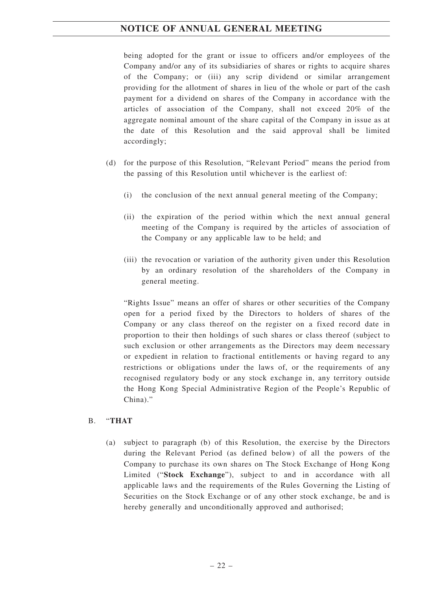being adopted for the grant or issue to officers and/or employees of the Company and/or any of its subsidiaries of shares or rights to acquire shares of the Company; or (iii) any scrip dividend or similar arrangement providing for the allotment of shares in lieu of the whole or part of the cash payment for a dividend on shares of the Company in accordance with the articles of association of the Company, shall not exceed 20% of the aggregate nominal amount of the share capital of the Company in issue as at the date of this Resolution and the said approval shall be limited accordingly;

- (d) for the purpose of this Resolution, "Relevant Period" means the period from the passing of this Resolution until whichever is the earliest of:
	- (i) the conclusion of the next annual general meeting of the Company;
	- (ii) the expiration of the period within which the next annual general meeting of the Company is required by the articles of association of the Company or any applicable law to be held; and
	- (iii) the revocation or variation of the authority given under this Resolution by an ordinary resolution of the shareholders of the Company in general meeting.

"Rights Issue" means an offer of shares or other securities of the Company open for a period fixed by the Directors to holders of shares of the Company or any class thereof on the register on a fixed record date in proportion to their then holdings of such shares or class thereof (subject to such exclusion or other arrangements as the Directors may deem necessary or expedient in relation to fractional entitlements or having regard to any restrictions or obligations under the laws of, or the requirements of any recognised regulatory body or any stock exchange in, any territory outside the Hong Kong Special Administrative Region of the People's Republic of China)."

### B. "**THAT**

(a) subject to paragraph (b) of this Resolution, the exercise by the Directors during the Relevant Period (as defined below) of all the powers of the Company to purchase its own shares on The Stock Exchange of Hong Kong Limited ("**Stock Exchange**"), subject to and in accordance with all applicable laws and the requirements of the Rules Governing the Listing of Securities on the Stock Exchange or of any other stock exchange, be and is hereby generally and unconditionally approved and authorised;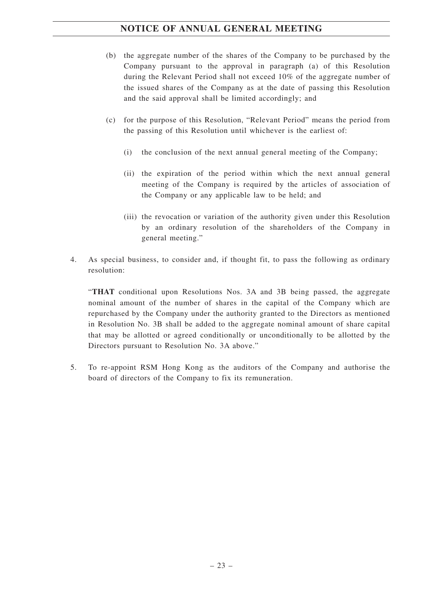- (b) the aggregate number of the shares of the Company to be purchased by the Company pursuant to the approval in paragraph (a) of this Resolution during the Relevant Period shall not exceed 10% of the aggregate number of the issued shares of the Company as at the date of passing this Resolution and the said approval shall be limited accordingly; and
- (c) for the purpose of this Resolution, "Relevant Period" means the period from the passing of this Resolution until whichever is the earliest of:
	- (i) the conclusion of the next annual general meeting of the Company;
	- (ii) the expiration of the period within which the next annual general meeting of the Company is required by the articles of association of the Company or any applicable law to be held; and
	- (iii) the revocation or variation of the authority given under this Resolution by an ordinary resolution of the shareholders of the Company in general meeting."
- 4. As special business, to consider and, if thought fit, to pass the following as ordinary resolution:

"**THAT** conditional upon Resolutions Nos. 3A and 3B being passed, the aggregate nominal amount of the number of shares in the capital of the Company which are repurchased by the Company under the authority granted to the Directors as mentioned in Resolution No. 3B shall be added to the aggregate nominal amount of share capital that may be allotted or agreed conditionally or unconditionally to be allotted by the Directors pursuant to Resolution No. 3A above."

5. To re-appoint RSM Hong Kong as the auditors of the Company and authorise the board of directors of the Company to fix its remuneration.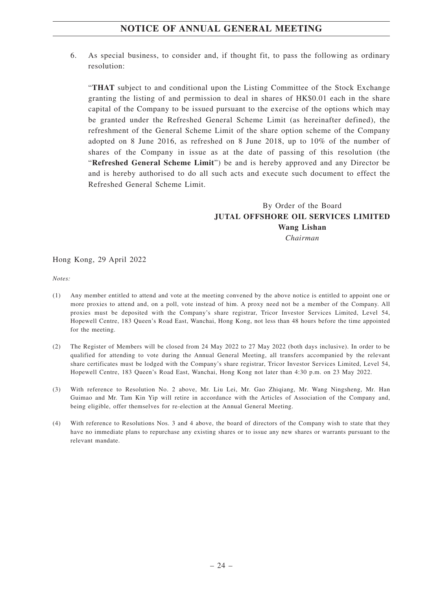6. As special business, to consider and, if thought fit, to pass the following as ordinary resolution:

"**THAT** subject to and conditional upon the Listing Committee of the Stock Exchange granting the listing of and permission to deal in shares of HK\$0.01 each in the share capital of the Company to be issued pursuant to the exercise of the options which may be granted under the Refreshed General Scheme Limit (as hereinafter defined), the refreshment of the General Scheme Limit of the share option scheme of the Company adopted on 8 June 2016, as refreshed on 8 June 2018, up to 10% of the number of shares of the Company in issue as at the date of passing of this resolution (the "**Refreshed General Scheme Limit**") be and is hereby approved and any Director be and is hereby authorised to do all such acts and execute such document to effect the Refreshed General Scheme Limit.

# By Order of the Board **JUTAL OFFSHORE OIL SERVICES LIMITED Wang Lishan** *Chairman*

Hong Kong, 29 April 2022

*Notes:*

- (1) Any member entitled to attend and vote at the meeting convened by the above notice is entitled to appoint one or more proxies to attend and, on a poll, vote instead of him. A proxy need not be a member of the Company. All proxies must be deposited with the Company's share registrar, Tricor Investor Services Limited, Level 54, Hopewell Centre, 183 Queen's Road East, Wanchai, Hong Kong, not less than 48 hours before the time appointed for the meeting.
- (2) The Register of Members will be closed from 24 May 2022 to 27 May 2022 (both days inclusive). In order to be qualified for attending to vote during the Annual General Meeting, all transfers accompanied by the relevant share certificates must be lodged with the Company's share registrar, Tricor Investor Services Limited, Level 54, Hopewell Centre, 183 Queen's Road East, Wanchai, Hong Kong not later than 4:30 p.m. on 23 May 2022.
- (3) With reference to Resolution No. 2 above, Mr. Liu Lei, Mr. Gao Zhiqiang, Mr. Wang Ningsheng, Mr. Han Guimao and Mr. Tam Kin Yip will retire in accordance with the Articles of Association of the Company and, being eligible, offer themselves for re-election at the Annual General Meeting.
- (4) With reference to Resolutions Nos. 3 and 4 above, the board of directors of the Company wish to state that they have no immediate plans to repurchase any existing shares or to issue any new shares or warrants pursuant to the relevant mandate.